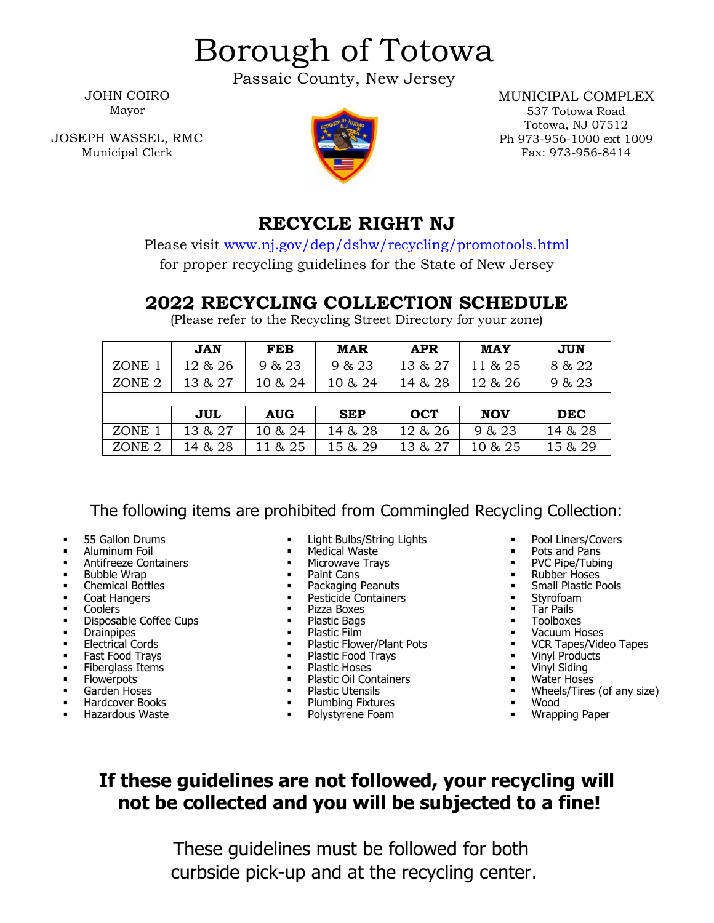# Borough of Totowa

Passaic County, New Jersey

JOHN COIRO Mayor

JOSEPH WASSEL, RMC Municipal Clerk



MUNICIPAL COMPLEX 537 Totowa Road Totowa, NJ 07512 Ph 973-956-1000 ext 1009 Fax: 973-956-8414

## **RECYCLE RIGHT NJ**

Please visit [www.nj.gov/dep/dshw/recycling/promotools.html](http://www.nj.gov/dep/dshw/recycling/promotools.html) for proper recycling guidelines for the State of New Jersey

## **2022 RECYCLING COLLECTION SCHEDULE**

**JAN FEB MAR APR MAY JUN** ZONE 1 12 & 26 9 & 23 9 & 23 13 & 27 11 & 25 8 & 22 ZONE 2 13 & 27 10 & 24 10 & 24 14 & 28 12 & 26 9 & 23 **JUL AUG SEP OCT NOV DEC** ZONE 1 13 & 27 10 & 24 14 & 28 12 & 26 9 & 23 14 & 28 ZONE 2 14 & 28 11 & 25 15 & 29 13 & 27 10 & 25 15 & 29

(Please refer to the Recycling Street Directory for your zone)

# The following items are prohibited from Commingled Recycling Collection:

- 55 Gallon Drums
- Aluminum Foil
- Antifreeze Containers
- **Bubble Wrap**
- Chemical Bottles
- Coat Hangers
- **Coolers**
- Disposable Coffee Cups
- **Drainpipes**
- **Electrical Cords**
- Fast Food Trays
- Fiberglass Items **Flowerpots**
- Garden Hoses
- Hardcover Books
- Hazardous Waste
- **Light Bulbs/String Lights**
- Medical Waste
- Microwave Trays
- Paint Cans
- Packaging Peanuts
- Pesticide Containers
- Pizza Boxes<br>■ Plastic Bags
- Plastic Bags
- Plastic Film
- Plastic Flower/Plant Pots
- Plastic Food Trays
- Plastic Hoses
- Plastic Oil Containers<br>■ Plastic Utensils
- Plastic Utensils
- **Plumbing Fixtures**
- Polystyrene Foam
- Pool Liners/Covers
- Pots and Pans
- PVC Pipe/Tubing
- Rubber Hoses
- Small Plastic Pools
- **Styrofoam**
- **Tar Pails**
- **Toolboxes**
- Vacuum Hoses
- VCR Tapes/Video Tapes
- **Vinyl Products**
- Vinyl Siding
- **Water Hoses** 
	- Wheels/Tires (of any size)
- **Wood**
- **Wrapping Paper**

# **If these guidelines are not followed, your recycling will not be collected and you will be subjected to a fine!**

These guidelines must be followed for both curbside pick-up and at the recycling center.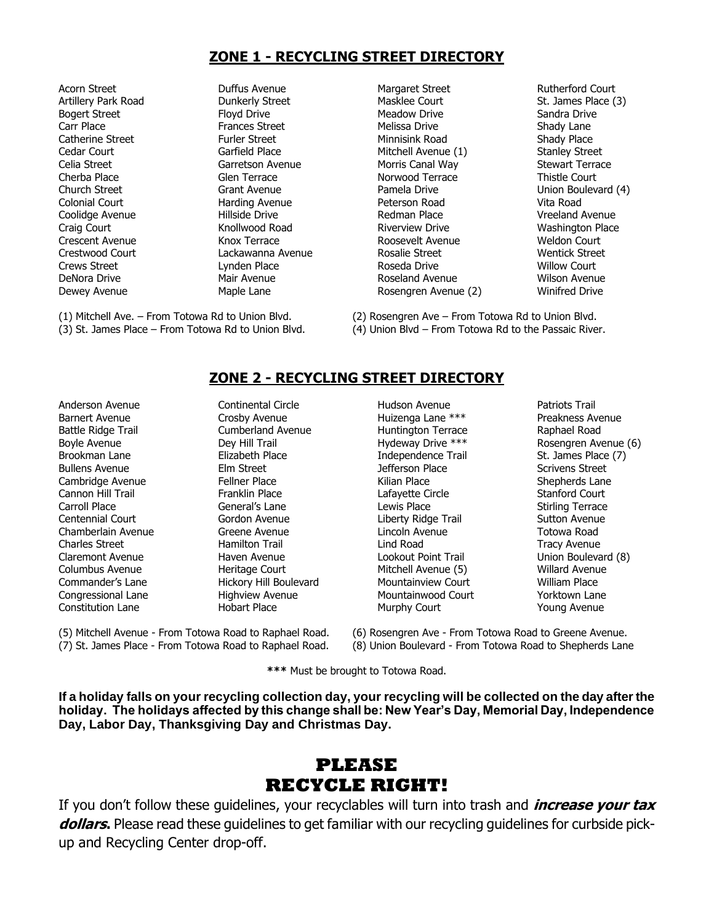#### **ZONE 1 - RECYCLING STREET DIRECTORY**

Acorn Street Artillery Park Road Bogert Street Carr Place Catherine Street Cedar Court Celia Street Cherba Place Church Street Colonial Court Coolidge Avenue Craig Court Crescent Avenue Crestwood Court Crews Street DeNora Drive Dewey Avenue

Duffus Avenue Dunkerly Street Floyd Drive Frances Street Furler Street Garfield Place Garretson Avenue Glen Terrace Grant Avenue Harding Avenue Hillside Drive Knollwood Road Knox Terrace Lackawanna Avenue Lynden Place Mair Avenue Maple Lane

Margaret Street Masklee Court Meadow Drive Melissa Drive Minnisink Road Mitchell Avenue (1) Morris Canal Way Norwood Terrace Pamela Drive Peterson Road Redman Place Riverview Drive Roosevelt Avenue Rosalie Street Roseda Drive Roseland Avenue Rosengren Avenue (2)

Rutherford Court St. James Place (3) Sandra Drive Shady Lane Shady Place Stanley Street Stewart Terrace Thistle Court Union Boulevard (4) Vita Road Vreeland Avenue Washington Place Weldon Court Wentick Street Willow Court Wilson Avenue Winifred Drive

(1) Mitchell Ave. – From Totowa Rd to Union Blvd. (2) Rosengren Ave – From Totowa Rd to Union Blvd.

(3) St. James Place – From Totowa Rd to Union Blvd. (4) Union Blvd – From Totowa Rd to the Passaic River.

#### **ZONE 2 - RECYCLING STREET DIRECTORY**

Anderson Avenue Barnert Avenue Battle Ridge Trail Boyle Avenue Brookman Lane Bullens Avenue Cambridge Avenue Cannon Hill Trail Carroll Place Centennial Court Chamberlain Avenue Charles Street Claremont Avenue Columbus Avenue Commander's Lane Congressional Lane Constitution Lane

Continental Circle Crosby Avenue Cumberland Avenue Dey Hill Trail Elizabeth Place Elm Street Fellner Place Franklin Place General's Lane Gordon Avenue Greene Avenue Hamilton Trail Haven Avenue Heritage Court Hickory Hill Boulevard Highview Avenue Hobart Place

Hudson Avenue Huizenga Lane \*\*\* Huntington Terrace Hydeway Drive \*\*\* Independence Trail Jefferson Place Kilian Place Lafayette Circle Lewis Place Liberty Ridge Trail Lincoln Avenue Lind Road Lookout Point Trail Mitchell Avenue (5) Mountainview Court Mountainwood Court Murphy Court

Patriots Trail Preakness Avenue Raphael Road Rosengren Avenue (6) St. James Place (7) Scrivens Street Shepherds Lane Stanford Court Stirling Terrace Sutton Avenue Totowa Road Tracy Avenue Union Boulevard (8) Willard Avenue William Place Yorktown Lane Young Avenue

(5) Mitchell Avenue - From Totowa Road to Raphael Road. (6) Rosengren Ave - From Totowa Road to Greene Avenue. (7) St. James Place - From Totowa Road to Raphael Road. (8) Union Boulevard - From Totowa Road to Shepherds Lane

**\*\*\*** Must be brought to Totowa Road.

**If a holiday falls on your recycling collection day, your recycling will be collected on the day after the holiday. The holidays affected by this change shall be: New Year's Day, Memorial Day, Independence Day, Labor Day, Thanksgiving Day and Christmas Day.**

## **PLEASE RECYCLE RIGHT!**

If you don't follow these guidelines, your recyclables will turn into trash and **increase your tax dollars.** Please read these guidelines to get familiar with our recycling guidelines for curbside pickup and Recycling Center drop-off.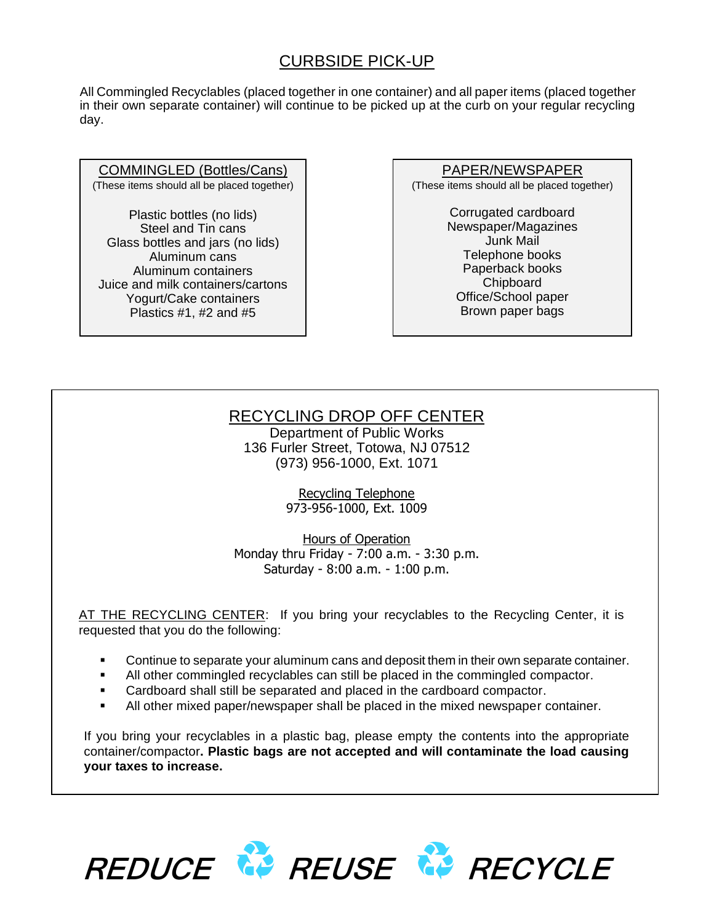## CURBSIDE PICK-UP

All Commingled Recyclables (placed together in one container) and all paper items (placed together in their own separate container) will continue to be picked up at the curb on your regular recycling day.

COMMINGLED (Bottles/Cans) (These items should all be placed together)

Plastic bottles (no lids) Steel and Tin cans Glass bottles and jars (no lids) Aluminum cans Aluminum containers Juice and milk containers/cartons Yogurt/Cake containers Plastics #1, #2 and #5

#### PAPER/NEWSPAPER

(These items should all be placed together)

Corrugated cardboard Newspaper/Magazines Junk Mail Telephone books Paperback books **Chipboard** Office/School paper Brown paper bags

## RECYCLING DROP OFF CENTER

Department of Public Works 136 Furler Street, Totowa, NJ 07512 (973) 956-1000, Ext. 1071

> Recycling Telephone 973-956-1000, Ext. 1009

Hours of Operation Monday thru Friday - 7:00 a.m. - 3:30 p.m. Saturday - 8:00 a.m. - 1:00 p.m.

AT THE RECYCLING CENTER: If you bring your recyclables to the Recycling Center, it is requested that you do the following:

- Continue to separate your aluminum cans and deposit them in their own separate container.
- All other commingled recyclables can still be placed in the commingled compactor.
- Cardboard shall still be separated and placed in the cardboard compactor.
- All other mixed paper/newspaper shall be placed in the mixed newspaper container.

If you bring your recyclables in a plastic bag, please empty the contents into the appropriate container/compactor**. Plastic bags are not accepted and will contaminate the load causing your taxes to increase.**

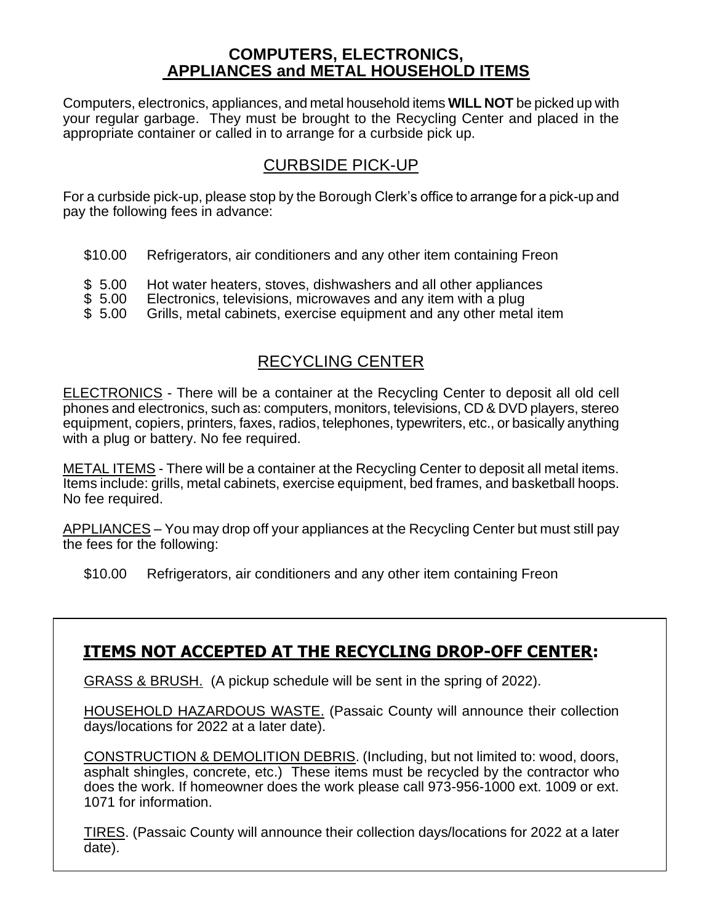#### **COMPUTERS, ELECTRONICS, APPLIANCES and METAL HOUSEHOLD ITEMS**

Computers, electronics, appliances, and metal household items **WILL NOT** be picked up with your regular garbage. They must be brought to the Recycling Center and placed in the appropriate container or called in to arrange for a curbside pick up.

### CURBSIDE PICK-UP

For a curbside pick-up, please stop by the Borough Clerk's office to arrange for a pick-up and pay the following fees in advance:

- \$10.00 Refrigerators, air conditioners and any other item containing Freon
- 
- \$ 5.00 Hot water heaters, stoves, dishwashers and all other appliances<br>\$ 5.00 Electronics, televisions, microwaves and any item with a plug<br>\$ 5.00 Grills, metal cabinets, exercise equipment and any other metal ite Electronics, televisions, microwaves and any item with a plug
- Grills, metal cabinets, exercise equipment and any other metal item

## RECYCLING CENTER

ELECTRONICS - There will be a container at the Recycling Center to deposit all old cell phones and electronics, such as: computers, monitors, televisions, CD & DVD players, stereo equipment, copiers, printers, faxes, radios, telephones, typewriters, etc., or basically anything with a plug or battery. No fee required.

METAL ITEMS - There will be a container at the Recycling Center to deposit all metal items. Items include: grills, metal cabinets, exercise equipment, bed frames, and basketball hoops. No fee required.

APPLIANCES – You may drop off your appliances at the Recycling Center but must still pay the fees for the following:

\$10.00 Refrigerators, air conditioners and any other item containing Freon

## **ITEMS NOT ACCEPTED AT THE RECYCLING DROP-OFF CENTER:**

GRASS & BRUSH. (A pickup schedule will be sent in the spring of 2022).

HOUSEHOLD HAZARDOUS WASTE. (Passaic County will announce their collection days/locations for 2022 at a later date).

CONSTRUCTION & DEMOLITION DEBRIS. (Including, but not limited to: wood, doors, asphalt shingles, concrete, etc.) These items must be recycled by the contractor who does the work. If homeowner does the work please call 973-956-1000 ext. 1009 or ext. 1071 for information.

TIRES. (Passaic County will announce their collection days/locations for 2022 at a later date).